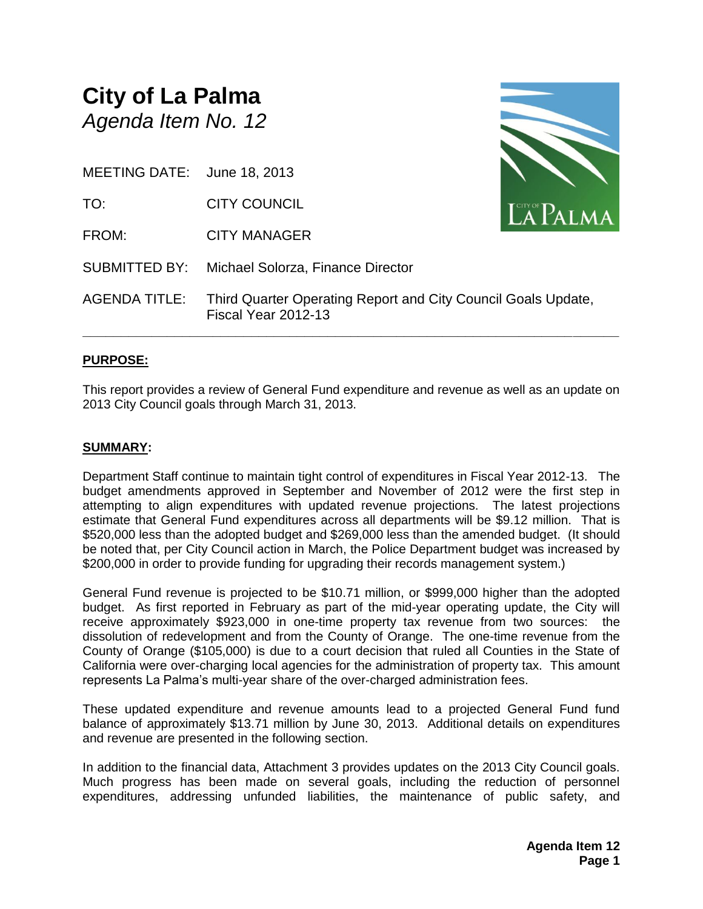## **City of La Palma** *Agenda Item No. 12*

MEETING DATE: June 18, 2013

TO: CITY COUNCIL

FROM: CITY MANAGER

SUBMITTED BY: Michael Solorza, Finance Director



AGENDA TITLE: Third Quarter Operating Report and City Council Goals Update, Fiscal Year 2012-13

### **PURPOSE:**

This report provides a review of General Fund expenditure and revenue as well as an update on 2013 City Council goals through March 31, 2013.

**\_\_\_\_\_\_\_\_\_\_\_\_\_\_\_\_\_\_\_\_\_\_\_\_\_\_\_\_\_\_\_\_\_\_\_\_\_\_\_\_\_\_\_\_\_\_\_\_\_\_\_\_\_\_\_\_\_\_\_\_\_\_\_\_\_\_\_\_\_\_**

### **SUMMARY:**

Department Staff continue to maintain tight control of expenditures in Fiscal Year 2012-13. The budget amendments approved in September and November of 2012 were the first step in attempting to align expenditures with updated revenue projections. The latest projections estimate that General Fund expenditures across all departments will be \$9.12 million. That is \$520,000 less than the adopted budget and \$269,000 less than the amended budget. (It should be noted that, per City Council action in March, the Police Department budget was increased by \$200,000 in order to provide funding for upgrading their records management system.)

General Fund revenue is projected to be \$10.71 million, or \$999,000 higher than the adopted budget. As first reported in February as part of the mid-year operating update, the City will receive approximately \$923,000 in one-time property tax revenue from two sources: the dissolution of redevelopment and from the County of Orange. The one-time revenue from the County of Orange (\$105,000) is due to a court decision that ruled all Counties in the State of California were over-charging local agencies for the administration of property tax. This amount represents La Palma's multi-year share of the over-charged administration fees.

These updated expenditure and revenue amounts lead to a projected General Fund fund balance of approximately \$13.71 million by June 30, 2013. Additional details on expenditures and revenue are presented in the following section.

In addition to the financial data, Attachment 3 provides updates on the 2013 City Council goals. Much progress has been made on several goals, including the reduction of personnel expenditures, addressing unfunded liabilities, the maintenance of public safety, and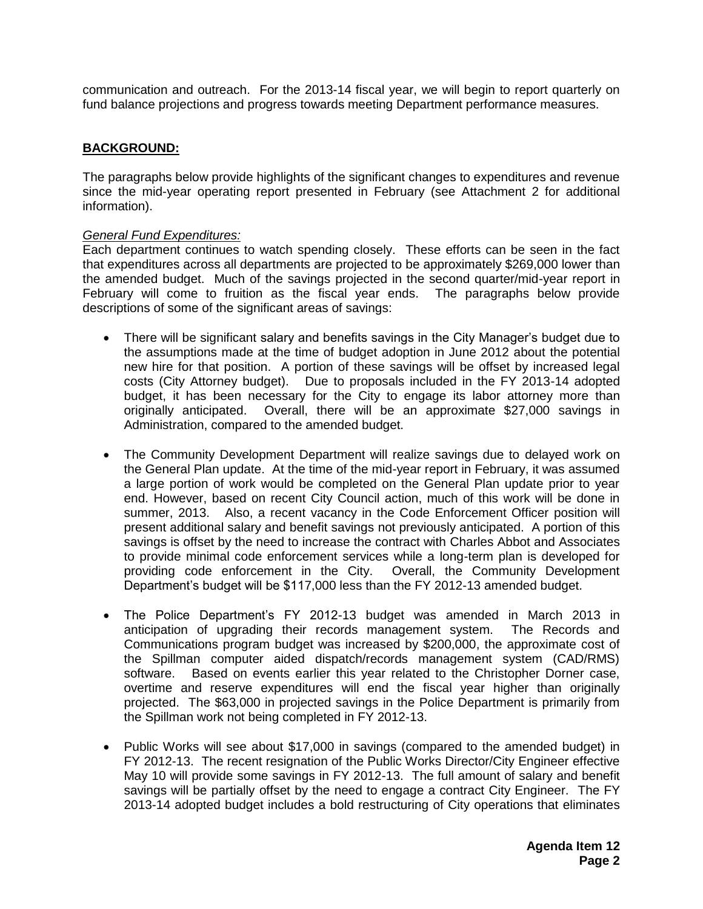communication and outreach. For the 2013-14 fiscal year, we will begin to report quarterly on fund balance projections and progress towards meeting Department performance measures.

### **BACKGROUND:**

The paragraphs below provide highlights of the significant changes to expenditures and revenue since the mid-year operating report presented in February (see Attachment 2 for additional information).

#### *General Fund Expenditures:*

Each department continues to watch spending closely. These efforts can be seen in the fact that expenditures across all departments are projected to be approximately \$269,000 lower than the amended budget. Much of the savings projected in the second quarter/mid-year report in February will come to fruition as the fiscal year ends. The paragraphs below provide descriptions of some of the significant areas of savings:

- There will be significant salary and benefits savings in the City Manager's budget due to the assumptions made at the time of budget adoption in June 2012 about the potential new hire for that position. A portion of these savings will be offset by increased legal costs (City Attorney budget). Due to proposals included in the FY 2013-14 adopted budget, it has been necessary for the City to engage its labor attorney more than originally anticipated. Overall, there will be an approximate \$27,000 savings in Administration, compared to the amended budget.
- The Community Development Department will realize savings due to delayed work on the General Plan update. At the time of the mid-year report in February, it was assumed a large portion of work would be completed on the General Plan update prior to year end. However, based on recent City Council action, much of this work will be done in summer, 2013. Also, a recent vacancy in the Code Enforcement Officer position will present additional salary and benefit savings not previously anticipated. A portion of this savings is offset by the need to increase the contract with Charles Abbot and Associates to provide minimal code enforcement services while a long-term plan is developed for providing code enforcement in the City. Overall, the Community Development Department's budget will be \$117,000 less than the FY 2012-13 amended budget.
- The Police Department's FY 2012-13 budget was amended in March 2013 in anticipation of upgrading their records management system. The Records and Communications program budget was increased by \$200,000, the approximate cost of the Spillman computer aided dispatch/records management system (CAD/RMS) software. Based on events earlier this year related to the Christopher Dorner case, overtime and reserve expenditures will end the fiscal year higher than originally projected. The \$63,000 in projected savings in the Police Department is primarily from the Spillman work not being completed in FY 2012-13.
- Public Works will see about \$17,000 in savings (compared to the amended budget) in FY 2012-13. The recent resignation of the Public Works Director/City Engineer effective May 10 will provide some savings in FY 2012-13. The full amount of salary and benefit savings will be partially offset by the need to engage a contract City Engineer. The FY 2013-14 adopted budget includes a bold restructuring of City operations that eliminates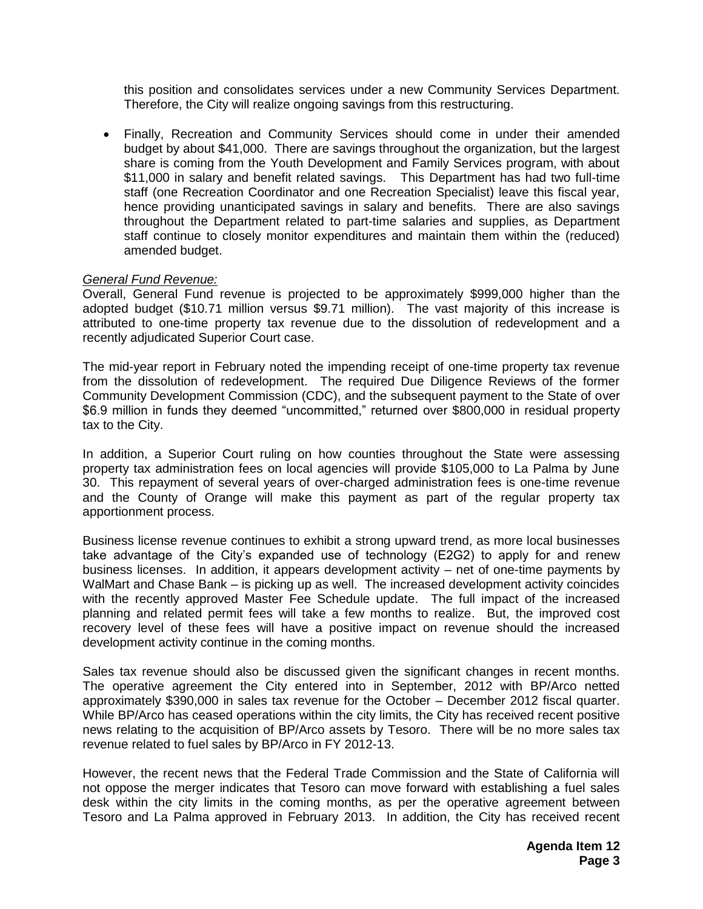this position and consolidates services under a new Community Services Department. Therefore, the City will realize ongoing savings from this restructuring.

 Finally, Recreation and Community Services should come in under their amended budget by about \$41,000. There are savings throughout the organization, but the largest share is coming from the Youth Development and Family Services program, with about \$11,000 in salary and benefit related savings. This Department has had two full-time staff (one Recreation Coordinator and one Recreation Specialist) leave this fiscal year, hence providing unanticipated savings in salary and benefits. There are also savings throughout the Department related to part-time salaries and supplies, as Department staff continue to closely monitor expenditures and maintain them within the (reduced) amended budget.

### *General Fund Revenue:*

Overall, General Fund revenue is projected to be approximately \$999,000 higher than the adopted budget (\$10.71 million versus \$9.71 million). The vast majority of this increase is attributed to one-time property tax revenue due to the dissolution of redevelopment and a recently adjudicated Superior Court case.

The mid-year report in February noted the impending receipt of one-time property tax revenue from the dissolution of redevelopment. The required Due Diligence Reviews of the former Community Development Commission (CDC), and the subsequent payment to the State of over \$6.9 million in funds they deemed "uncommitted," returned over \$800,000 in residual property tax to the City.

In addition, a Superior Court ruling on how counties throughout the State were assessing property tax administration fees on local agencies will provide \$105,000 to La Palma by June 30. This repayment of several years of over-charged administration fees is one-time revenue and the County of Orange will make this payment as part of the regular property tax apportionment process.

Business license revenue continues to exhibit a strong upward trend, as more local businesses take advantage of the City's expanded use of technology (E2G2) to apply for and renew business licenses. In addition, it appears development activity – net of one-time payments by WalMart and Chase Bank – is picking up as well. The increased development activity coincides with the recently approved Master Fee Schedule update. The full impact of the increased planning and related permit fees will take a few months to realize. But, the improved cost recovery level of these fees will have a positive impact on revenue should the increased development activity continue in the coming months.

Sales tax revenue should also be discussed given the significant changes in recent months. The operative agreement the City entered into in September, 2012 with BP/Arco netted approximately \$390,000 in sales tax revenue for the October – December 2012 fiscal quarter. While BP/Arco has ceased operations within the city limits, the City has received recent positive news relating to the acquisition of BP/Arco assets by Tesoro. There will be no more sales tax revenue related to fuel sales by BP/Arco in FY 2012-13.

However, the recent news that the Federal Trade Commission and the State of California will not oppose the merger indicates that Tesoro can move forward with establishing a fuel sales desk within the city limits in the coming months, as per the operative agreement between Tesoro and La Palma approved in February 2013. In addition, the City has received recent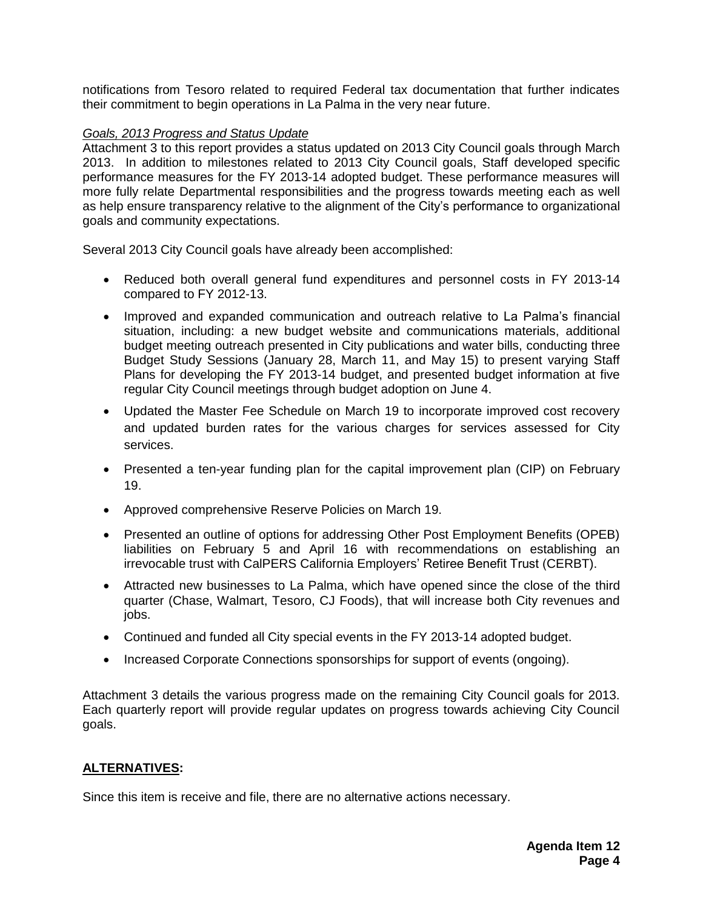notifications from Tesoro related to required Federal tax documentation that further indicates their commitment to begin operations in La Palma in the very near future.

### *Goals, 2013 Progress and Status Update*

Attachment 3 to this report provides a status updated on 2013 City Council goals through March 2013. In addition to milestones related to 2013 City Council goals, Staff developed specific performance measures for the FY 2013-14 adopted budget. These performance measures will more fully relate Departmental responsibilities and the progress towards meeting each as well as help ensure transparency relative to the alignment of the City's performance to organizational goals and community expectations.

Several 2013 City Council goals have already been accomplished:

- Reduced both overall general fund expenditures and personnel costs in FY 2013-14 compared to FY 2012-13.
- Improved and expanded communication and outreach relative to La Palma's financial situation, including: a new budget website and communications materials, additional budget meeting outreach presented in City publications and water bills, conducting three Budget Study Sessions (January 28, March 11, and May 15) to present varying Staff Plans for developing the FY 2013-14 budget, and presented budget information at five regular City Council meetings through budget adoption on June 4.
- Updated the Master Fee Schedule on March 19 to incorporate improved cost recovery and updated burden rates for the various charges for services assessed for City services.
- Presented a ten-year funding plan for the capital improvement plan (CIP) on February 19.
- Approved comprehensive Reserve Policies on March 19.
- Presented an outline of options for addressing Other Post Employment Benefits (OPEB) liabilities on February 5 and April 16 with recommendations on establishing an irrevocable trust with CalPERS California Employers' Retiree Benefit Trust (CERBT).
- Attracted new businesses to La Palma, which have opened since the close of the third quarter (Chase, Walmart, Tesoro, CJ Foods), that will increase both City revenues and jobs.
- Continued and funded all City special events in the FY 2013-14 adopted budget.
- Increased Corporate Connections sponsorships for support of events (ongoing).

Attachment 3 details the various progress made on the remaining City Council goals for 2013. Each quarterly report will provide regular updates on progress towards achieving City Council goals.

### **ALTERNATIVES:**

Since this item is receive and file, there are no alternative actions necessary.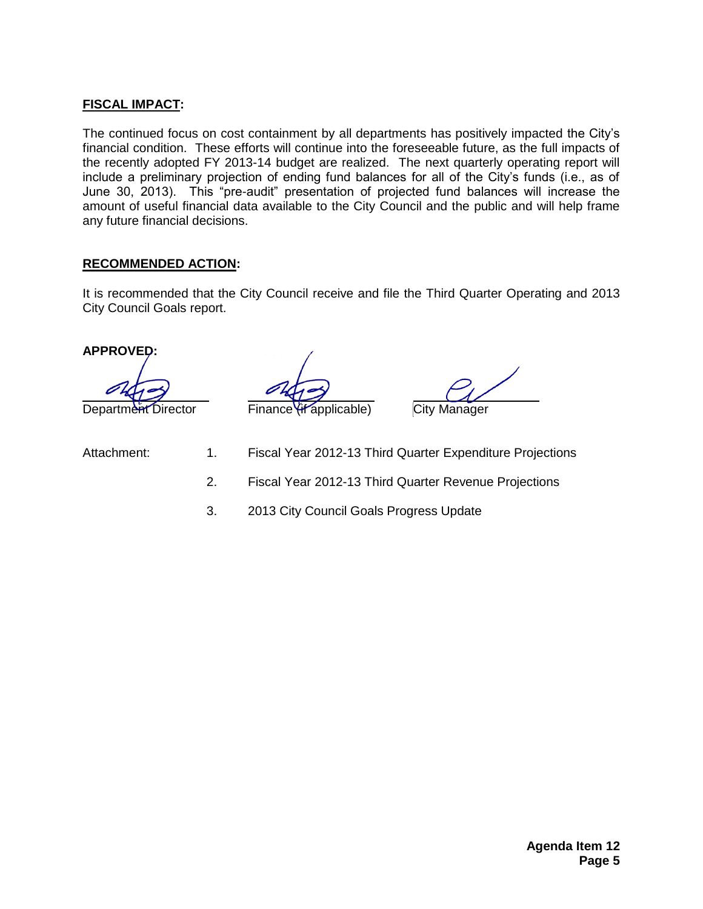### **FISCAL IMPACT:**

The continued focus on cost containment by all departments has positively impacted the City's financial condition. These efforts will continue into the foreseeable future, as the full impacts of the recently adopted FY 2013-14 budget are realized. The next quarterly operating report will include a preliminary projection of ending fund balances for all of the City's funds (i.e., as of June 30, 2013). This "pre-audit" presentation of projected fund balances will increase the amount of useful financial data available to the City Council and the public and will help frame any future financial decisions.

### **RECOMMENDED ACTION:**

It is recommended that the City Council receive and file the Third Quarter Operating and 2013 City Council Goals report.

### **APPROVED:**

Department Director Finance (if applicable) City Manager

- 
- Attachment: 1. Fiscal Year 2012-13 Third Quarter Expenditure Projections
	- 2. Fiscal Year 2012-13 Third Quarter Revenue Projections
	- 3. 2013 City Council Goals Progress Update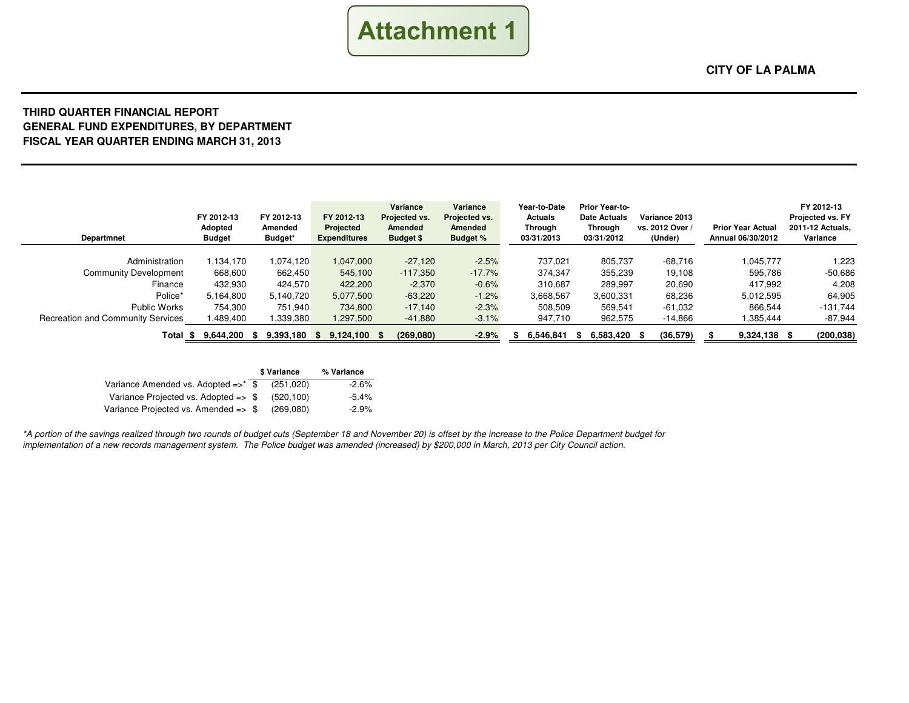

#### **THIRD QUARTER FINANCIAL REPORT GENERAL FUND EXPENDITURES, BY DEPARTMENTFISCAL YEAR QUARTER ENDING MARCH 31, 2013**

| Departmnet                               | FY 2012-13<br>Adopted<br><b>Budget</b> | FY 2012-13<br>Amended<br>Budget* | FY 2012-13<br><b>Projected</b><br><b>Expenditures</b> | Variance<br>Projected vs.<br>Amended<br><b>Budget \$</b> | Variance<br>Projected vs.<br><b>Amended</b><br><b>Budget %</b> | Year-to-Date<br><b>Actuals</b><br>Through<br>03/31/2013 | <b>Prior Year-to-</b><br><b>Date Actuals</b><br>Through<br>03/31/2012 | Variance 2013<br>vs. 2012 Over<br>(Under) | <b>Prior Year Actual</b><br>Annual 06/30/2012 | FY 2012-13<br>Projected vs. FY<br>2011-12 Actuals,<br>Variance |
|------------------------------------------|----------------------------------------|----------------------------------|-------------------------------------------------------|----------------------------------------------------------|----------------------------------------------------------------|---------------------------------------------------------|-----------------------------------------------------------------------|-------------------------------------------|-----------------------------------------------|----------------------------------------------------------------|
|                                          |                                        |                                  |                                                       |                                                          |                                                                |                                                         |                                                                       |                                           |                                               |                                                                |
| Administration                           | ,134,170                               | 1.074.120                        | 1,047,000                                             | $-27.120$                                                | $-2.5%$                                                        | 737.021                                                 | 805,737                                                               | $-68.716$                                 | 1,045,777                                     | 1,223                                                          |
| <b>Community Development</b>             | 668,600                                | 662,450                          | 545.100                                               | $-117.350$                                               | $-17.7%$                                                       | 374,347                                                 | 355,239                                                               | 19,108                                    | 595.786                                       | $-50,686$                                                      |
| Finance                                  | 432.930                                | 424.570                          | 422,200                                               | $-2,370$                                                 | $-0.6%$                                                        | 310.687                                                 | 289,997                                                               | 20,690                                    | 417.992                                       | 4,208                                                          |
| Police*                                  | 5,164,800                              | 5,140,720                        | 5,077,500                                             | $-63,220$                                                | $-1.2%$                                                        | 3,668,567                                               | 3,600,331                                                             | 68,236                                    | 5,012,595                                     | 64,905                                                         |
| Public Works                             | 754,300                                | 751,940                          | 734,800                                               | $-17,140$                                                | $-2.3%$                                                        | 508,509                                                 | 569,541                                                               | -61,032                                   | 866.544                                       | $-131,744$                                                     |
| <b>Recreation and Community Services</b> | ,489,400                               | ,339,380                         | 1,297,500                                             | $-41,880$                                                | $-3.1%$                                                        | 947,710                                                 | 962,575                                                               | $-14,866$                                 | 1,385,444                                     | $-87,944$                                                      |
| Total \$                                 | $9,644,200$ \$                         | 9,393,180                        | $9,124,100$ \$<br>SS.                                 | (269,080)                                                | $-2.9%$                                                        | 6,546,841                                               | 6,583,420 \$<br>Я.                                                    | (36,579)                                  | $9,324,138$ \$                                | (200, 038)                                                     |

|                                                 | \$ Variance | % Variance |
|-------------------------------------------------|-------------|------------|
| Variance Amended vs. Adopted $\Rightarrow^*$ \$ | (251.020)   | $-2.6%$    |
| Variance Projected vs. Adopted => \$            | (520.100)   | $-5.4\%$   |
| Variance Projected vs. Amended => \$            | (269.080)   | $-2.9%$    |

\*A portion of the savings realized through two rounds of budget cuts (September 18 and November 20) is offset by the increase to the Police Department budget for implementation of a new records management system. The Police budget was amended (increased) by \$200,000 in March, 2013 per City Council action.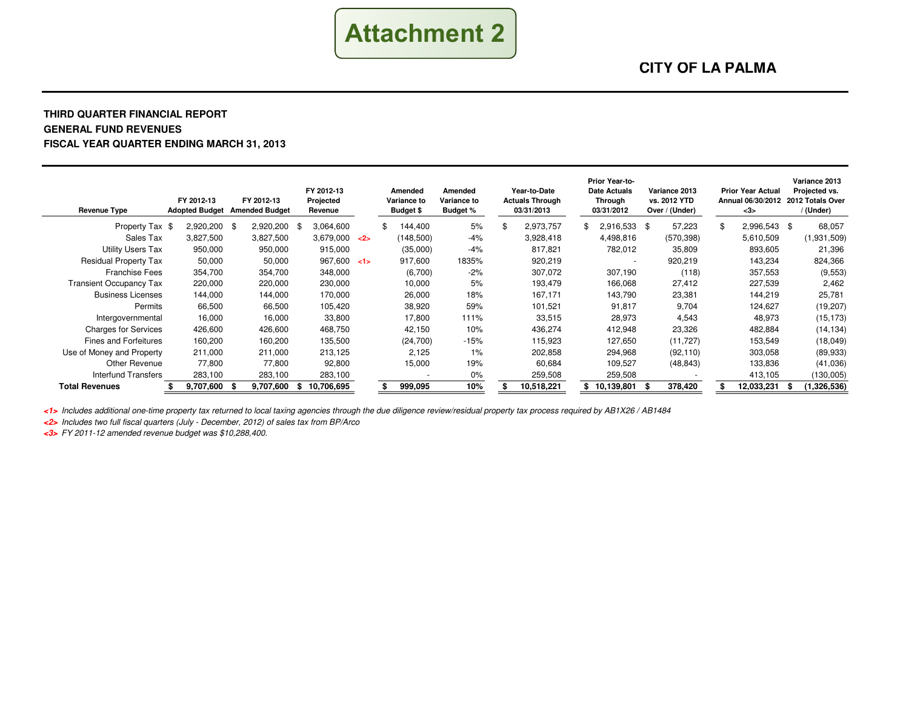

#### **THIRD QUARTER FINANCIAL REPORTGENERAL FUND REVENUESFISCAL YEAR QUARTER ENDING MARCH 31, 2013**

| <b>Revenue Type</b>            | FY 2012-13<br><b>Adopted Budget</b> | FY 2012-13<br><b>Amended Budget</b> | FY 2012-13<br>Projected<br>Revenue |     | Amended<br>Variance to<br><b>Budget \$</b> | Amended<br>Variance to<br><b>Budget %</b> | Year-to-Date<br><b>Actuals Through</b><br>03/31/2013 | Prior Year-to-<br>Date Actuals<br>Through<br>03/31/2012 |      | Variance 2013<br>vs. 2012 YTD<br>Over / (Under) |     | <b>Prior Year Actual</b><br>Annual 06/30/2012<br>$3$ | Variance 2013<br>Projected vs.<br>2012 Totals Over<br>/ (Under) |
|--------------------------------|-------------------------------------|-------------------------------------|------------------------------------|-----|--------------------------------------------|-------------------------------------------|------------------------------------------------------|---------------------------------------------------------|------|-------------------------------------------------|-----|------------------------------------------------------|-----------------------------------------------------------------|
| Property Tax \$                | 2,920,200 \$                        | 2,920,200 \$                        | 3,064,600                          |     | 144,400                                    | 5%                                        | 2,973,757                                            | 2,916,533                                               | - \$ | 57,223                                          | \$. | 2,996,543 \$                                         | 68,057                                                          |
| Sales Tax                      | 3,827,500                           | 3,827,500                           | 3,679,000                          | $2$ | (148,500)                                  | $-4%$                                     | 3,928,418                                            | 4,498,816                                               |      | (570, 398)                                      |     | 5,610,509                                            | (1,931,509)                                                     |
| <b>Utility Users Tax</b>       | 950,000                             | 950,000                             | 915,000                            |     | (35,000)                                   | $-4%$                                     | 817,821                                              | 782,012                                                 |      | 35,809                                          |     | 893,605                                              | 21,396                                                          |
| <b>Residual Property Tax</b>   | 50,000                              | 50,000                              | 967,600 < 1                        |     | 917,600                                    | 1835%                                     | 920,219                                              | $\overline{\phantom{a}}$                                |      | 920,219                                         |     | 143,234                                              | 824,366                                                         |
| <b>Franchise Fees</b>          | 354,700                             | 354,700                             | 348,000                            |     | (6,700)                                    | $-2%$                                     | 307,072                                              | 307,190                                                 |      | (118)                                           |     | 357,553                                              | (9,553)                                                         |
| <b>Transient Occupancy Tax</b> | 220,000                             | 220,000                             | 230,000                            |     | 10,000                                     | 5%                                        | 193,479                                              | 166,068                                                 |      | 27,412                                          |     | 227,539                                              | 2,462                                                           |
| <b>Business Licenses</b>       | 144,000                             | 144,000                             | 170,000                            |     | 26,000                                     | 18%                                       | 167,171                                              | 143,790                                                 |      | 23,381                                          |     | 144,219                                              | 25,781                                                          |
| Permits                        | 66,500                              | 66,500                              | 105,420                            |     | 38,920                                     | 59%                                       | 101,521                                              | 91,817                                                  |      | 9,704                                           |     | 124,627                                              | (19, 207)                                                       |
| Intergovernmental              | 16.000                              | 16.000                              | 33,800                             |     | 17.800                                     | 111%                                      | 33,515                                               | 28,973                                                  |      | 4,543                                           |     | 48,973                                               | (15, 173)                                                       |
| <b>Charges for Services</b>    | 426,600                             | 426,600                             | 468,750                            |     | 42,150                                     | 10%                                       | 436,274                                              | 412,948                                                 |      | 23,326                                          |     | 482,884                                              | (14, 134)                                                       |
| <b>Fines and Forfeitures</b>   | 160,200                             | 160,200                             | 135,500                            |     | (24,700)                                   | $-15%$                                    | 115.923                                              | 127,650                                                 |      | (11, 727)                                       |     | 153,549                                              | (18, 049)                                                       |
| Use of Money and Property      | 211,000                             | 211,000                             | 213,125                            |     | 2.125                                      | 1%                                        | 202,858                                              | 294,968                                                 |      | (92, 110)                                       |     | 303,058                                              | (89, 933)                                                       |
| Other Revenue                  | 77.800                              | 77.800                              | 92,800                             |     | 15,000                                     | 19%                                       | 60.684                                               | 109.527                                                 |      | (48, 843)                                       |     | 133,836                                              | (41,036)                                                        |
| Interfund Transfers            | 283,100                             | 283,100                             | 283,100                            |     |                                            | $0\%$                                     | 259,508                                              | 259,508                                                 |      |                                                 |     | 413,105                                              | (130,005)                                                       |
| <b>Total Revenues</b>          | 9.707.600                           | 9.707.600<br>- S                    | 10,706,695<br>- \$                 |     | 999,095                                    | 10%                                       | 10,518,221                                           | 10,139,801                                              |      | 378,420                                         |     | 12,033,231                                           | (1,326,536)                                                     |

**<1>** Includes additional one-time property tax returned to local taxing agencies through the due diligence review/residual property tax process required by AB1X26 / AB1484

**<2>** Includes two full fiscal quarters (July - December, 2012) of sales tax from BP/Arco

**<3>** FY 2011-12 amended revenue budget was \$10,288,400.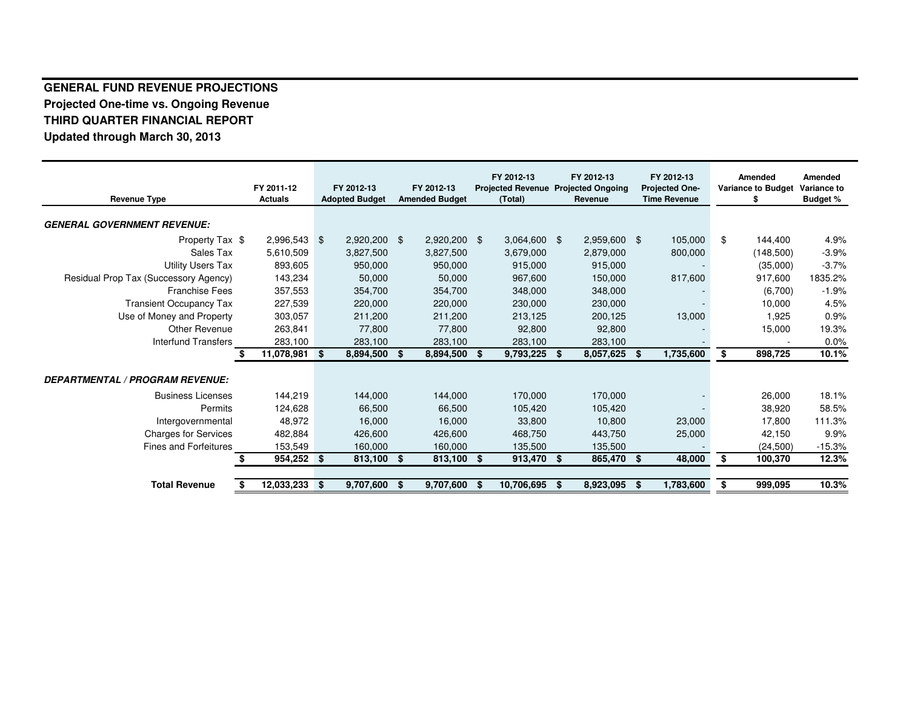### **GENERAL FUND REVENUE PROJECTIONS Projected One-time vs. Ongoing RevenueTHIRD QUARTER FINANCIAL REPORTUpdated through March 30, 2013**

|                                        | FY 2011-12     |      | FY 2012-13                                     |     | FY 2012-13     | FY 2012-13<br>FY 2012-13<br><b>Projected Revenue</b><br><b>Projected Ongoing</b> |                |      | FY 2012-13<br><b>Projected One-</b> |                 | <b>Amended</b><br><b>Variance to Budget</b> | Amended<br><b>Variance to</b> |          |
|----------------------------------------|----------------|------|------------------------------------------------|-----|----------------|----------------------------------------------------------------------------------|----------------|------|-------------------------------------|-----------------|---------------------------------------------|-------------------------------|----------|
| <b>Revenue Type</b>                    | <b>Actuals</b> |      | <b>Amended Budget</b><br><b>Adopted Budget</b> |     |                | (Total)<br>Revenue                                                               |                |      | <b>Time Revenue</b>                 | \$              |                                             | <b>Budget %</b>               |          |
| <b>GENERAL GOVERNMENT REVENUE:</b>     |                |      |                                                |     |                |                                                                                  |                |      |                                     |                 |                                             |                               |          |
| Property Tax \$                        | $2,996,543$ \$ |      | 2,920,200                                      | - S | $2,920,200$ \$ |                                                                                  | $3,064,600$ \$ |      | 2,959,600                           | \$<br>105,000   | \$                                          | 144,400                       | 4.9%     |
| Sales Tax                              | 5,610,509      |      | 3,827,500                                      |     | 3,827,500      |                                                                                  | 3,679,000      |      | 2,879,000                           | 800,000         |                                             | (148,500)                     | $-3.9%$  |
| <b>Utility Users Tax</b>               | 893,605        |      | 950,000                                        |     | 950.000        |                                                                                  | 915,000        |      | 915,000                             |                 |                                             | (35,000)                      | $-3.7%$  |
| Residual Prop Tax (Successory Agency)  | 143,234        |      | 50,000                                         |     | 50,000         |                                                                                  | 967,600        |      | 150,000                             | 817,600         |                                             | 917,600                       | 1835.2%  |
| <b>Franchise Fees</b>                  | 357,553        |      | 354,700                                        |     | 354,700        |                                                                                  | 348,000        |      | 348,000                             |                 |                                             | (6,700)                       | $-1.9%$  |
| <b>Transient Occupancy Tax</b>         | 227,539        |      | 220,000                                        |     | 220,000        |                                                                                  | 230,000        |      | 230,000                             |                 |                                             | 10.000                        | 4.5%     |
| Use of Money and Property              | 303,057        |      | 211.200                                        |     | 211.200        |                                                                                  | 213,125        |      | 200,125                             | 13,000          |                                             | 1.925                         | 0.9%     |
| Other Revenue                          | 263,841        |      | 77,800                                         |     | 77.800         |                                                                                  | 92,800         |      | 92,800                              |                 |                                             | 15,000                        | 19.3%    |
| Interfund Transfers                    | 283,100        |      | 283,100                                        |     | 283,100        |                                                                                  | 283,100        |      | 283,100                             |                 |                                             |                               | 0.0%     |
|                                        | 11,078,981 \$  |      | 8,894,500                                      | \$  | 8,894,500      | -\$                                                                              | 9,793,225      | - \$ | 8,057,625                           | \$<br>1,735,600 | \$                                          | 898,725                       | 10.1%    |
| <b>DEPARTMENTAL / PROGRAM REVENUE:</b> |                |      |                                                |     |                |                                                                                  |                |      |                                     |                 |                                             |                               |          |
| <b>Business Licenses</b>               | 144,219        |      | 144,000                                        |     | 144.000        |                                                                                  | 170,000        |      | 170,000                             |                 |                                             | 26,000                        | 18.1%    |
| Permits                                | 124,628        |      | 66,500                                         |     | 66,500         |                                                                                  | 105,420        |      | 105,420                             |                 |                                             | 38.920                        | 58.5%    |
| Intergovernmental                      | 48,972         |      | 16,000                                         |     | 16.000         |                                                                                  | 33,800         |      | 10,800                              | 23,000          |                                             | 17.800                        | 111.3%   |
| <b>Charges for Services</b>            | 482,884        |      | 426,600                                        |     | 426,600        |                                                                                  | 468.750        |      | 443.750                             | 25,000          |                                             | 42.150                        | 9.9%     |
| <b>Fines and Forfeitures</b>           | 153,549        |      | 160,000                                        |     | 160,000        |                                                                                  | 135,500        |      | 135,500                             |                 |                                             | (24,500)                      | $-15.3%$ |
|                                        | 954,252 \$     |      | 813,100                                        | \$  | 813,100        | - \$                                                                             | 913,470 \$     |      | 865,470                             | \$<br>48,000    | \$                                          | 100.370                       | 12.3%    |
| <b>Total Revenue</b>                   | 12,033,233     | - \$ | 9.707.600                                      | \$. | 9,707,600      | - \$                                                                             | 10.706.695     | £.   | 8,923,095                           | \$<br>1,783,600 | \$                                          | 999.095                       | 10.3%    |
|                                        |                |      |                                                |     |                |                                                                                  |                |      |                                     |                 |                                             |                               |          |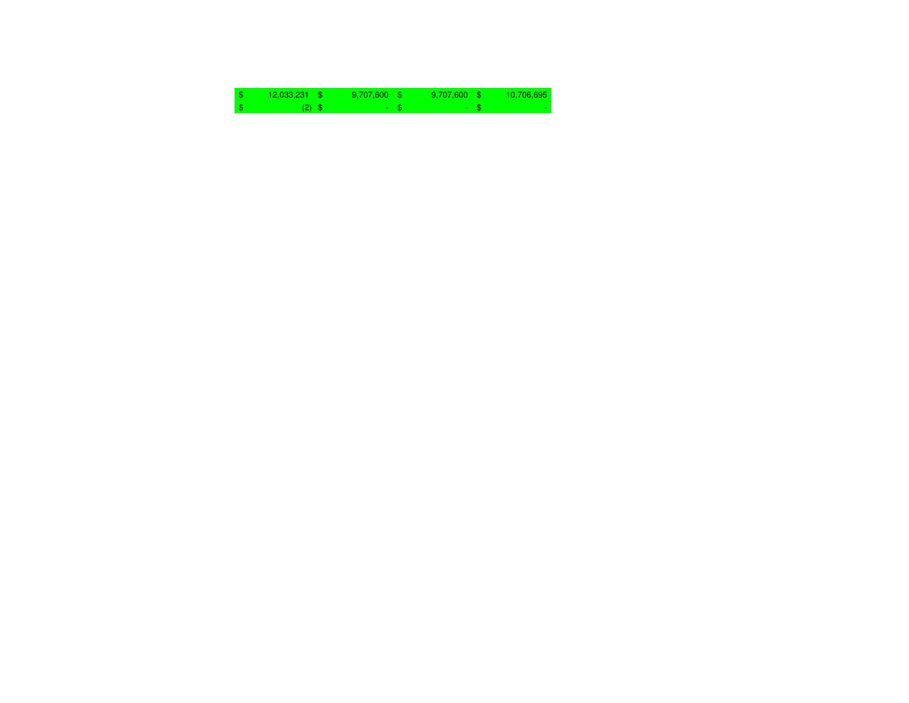| $12,033,231$ \$ | $9,707,600$ \$ | $9.707.600$ \$ | 10,706,695 |
|-----------------|----------------|----------------|------------|
| $(2)$ \$        | - 1            |                |            |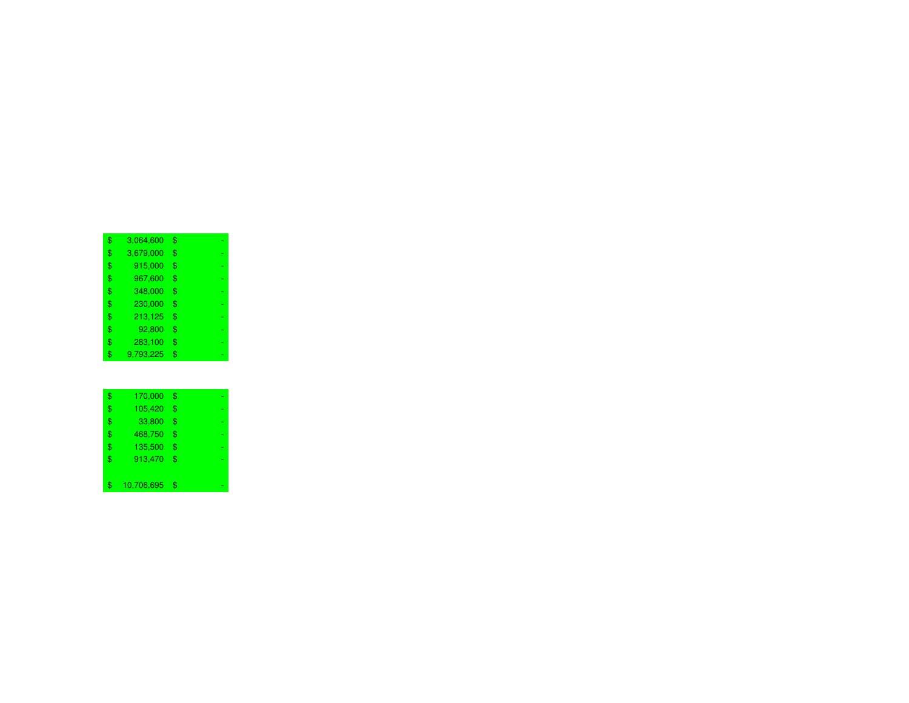| \$<br>3,064,600 | \$ |
|-----------------|----|
| \$<br>3,679,000 | \$ |
| \$<br>915,000   | \$ |
| \$<br>967,600   | \$ |
| \$<br>348,000   | \$ |
| \$<br>230,000   | \$ |
| \$<br>213,125   | \$ |
| \$<br>92,800    | \$ |
| \$<br>283,100   | \$ |
| \$<br>9,793,225 | \$ |

| \$<br>170,000    | \$ |
|------------------|----|
| \$<br>105,420    | \$ |
| \$<br>33,800     | \$ |
| \$<br>468,750    | \$ |
| \$<br>135,500    | \$ |
| \$<br>913,470    | \$ |
|                  |    |
| \$<br>10,706,695 | \$ |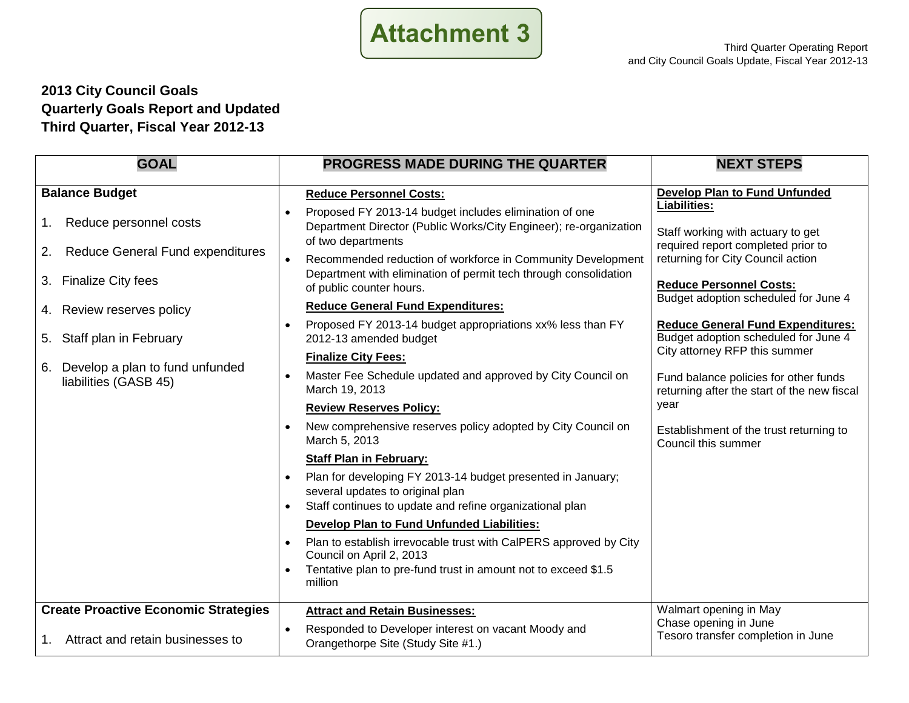

### **2013 City Council Goals Quarterly Goals Report and Updated Third Quarter, Fiscal Year 2012-13**

| <b>GOAL</b>                                                 | <b>PROGRESS MADE DURING THE QUARTER</b>                                                                                                                     | <b>NEXT STEPS</b>                                                                    |
|-------------------------------------------------------------|-------------------------------------------------------------------------------------------------------------------------------------------------------------|--------------------------------------------------------------------------------------|
| <b>Balance Budget</b>                                       | <b>Reduce Personnel Costs:</b>                                                                                                                              | <b>Develop Plan to Fund Unfunded</b>                                                 |
| Reduce personnel costs<br>1.                                | Proposed FY 2013-14 budget includes elimination of one<br>Department Director (Public Works/City Engineer); re-organization<br>of two departments           | Liabilities:<br>Staff working with actuary to get                                    |
| <b>Reduce General Fund expenditures</b><br>2.               | Recommended reduction of workforce in Community Development                                                                                                 | required report completed prior to<br>returning for City Council action              |
| 3. Finalize City fees                                       | Department with elimination of permit tech through consolidation<br>of public counter hours.                                                                | <b>Reduce Personnel Costs:</b>                                                       |
| 4. Review reserves policy                                   | <b>Reduce General Fund Expenditures:</b>                                                                                                                    | Budget adoption scheduled for June 4                                                 |
| 5. Staff plan in February                                   | Proposed FY 2013-14 budget appropriations xx% less than FY<br>2012-13 amended budget                                                                        | <b>Reduce General Fund Expenditures:</b><br>Budget adoption scheduled for June 4     |
|                                                             | <b>Finalize City Fees:</b>                                                                                                                                  | City attorney RFP this summer                                                        |
| 6. Develop a plan to fund unfunded<br>liabilities (GASB 45) | Master Fee Schedule updated and approved by City Council on<br>March 19, 2013                                                                               | Fund balance policies for other funds<br>returning after the start of the new fiscal |
|                                                             | <b>Review Reserves Policy:</b>                                                                                                                              | year                                                                                 |
|                                                             | New comprehensive reserves policy adopted by City Council on<br>March 5, 2013                                                                               | Establishment of the trust returning to<br>Council this summer                       |
|                                                             | <b>Staff Plan in February:</b>                                                                                                                              |                                                                                      |
|                                                             | Plan for developing FY 2013-14 budget presented in January;<br>several updates to original plan<br>Staff continues to update and refine organizational plan |                                                                                      |
|                                                             | <b>Develop Plan to Fund Unfunded Liabilities:</b>                                                                                                           |                                                                                      |
|                                                             | Plan to establish irrevocable trust with CalPERS approved by City<br>Council on April 2, 2013                                                               |                                                                                      |
|                                                             | Tentative plan to pre-fund trust in amount not to exceed \$1.5<br>million                                                                                   |                                                                                      |
| <b>Create Proactive Economic Strategies</b>                 | <b>Attract and Retain Businesses:</b>                                                                                                                       | Walmart opening in May                                                               |
| Attract and retain businesses to<br>1.                      | Responded to Developer interest on vacant Moody and<br>Orangethorpe Site (Study Site #1.)                                                                   | Chase opening in June<br>Tesoro transfer completion in June                          |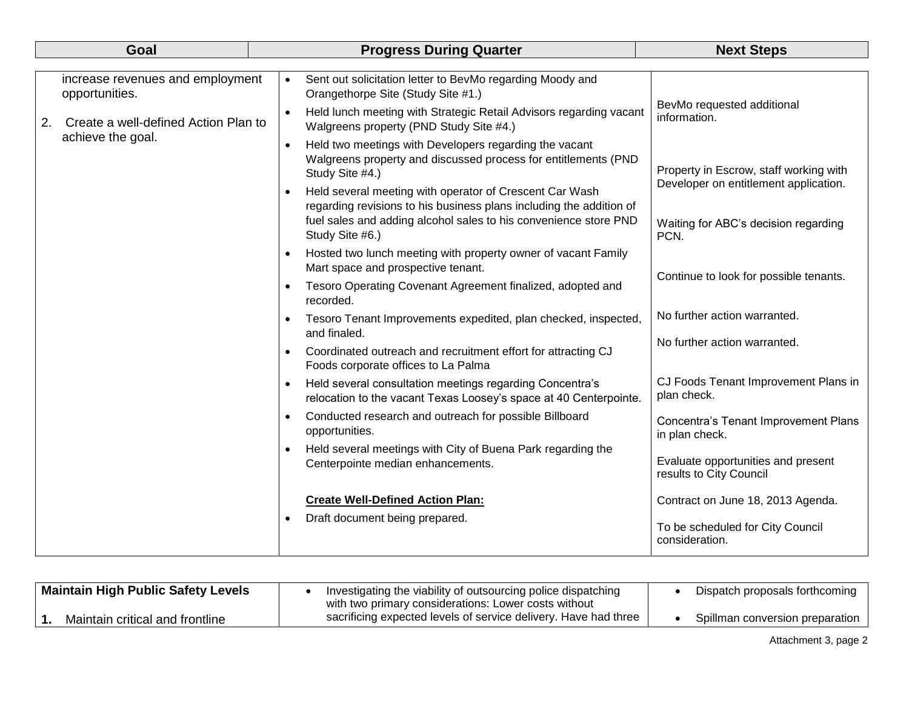| Goal |                                                    |           | <b>Progress During Quarter</b>                                                                                                              | <b>Next Steps</b>                                             |  |  |
|------|----------------------------------------------------|-----------|---------------------------------------------------------------------------------------------------------------------------------------------|---------------------------------------------------------------|--|--|
|      |                                                    |           |                                                                                                                                             |                                                               |  |  |
|      | increase revenues and employment<br>opportunities. | $\bullet$ | Sent out solicitation letter to BevMo regarding Moody and<br>Orangethorpe Site (Study Site #1.)                                             |                                                               |  |  |
| 2.   | Create a well-defined Action Plan to               | $\bullet$ | Held lunch meeting with Strategic Retail Advisors regarding vacant<br>Walgreens property (PND Study Site #4.)                               | BevMo requested additional<br>information.                    |  |  |
|      | achieve the goal.                                  | $\bullet$ | Held two meetings with Developers regarding the vacant<br>Walgreens property and discussed process for entitlements (PND<br>Study Site #4.) | Property in Escrow, staff working with                        |  |  |
|      |                                                    | $\bullet$ | Held several meeting with operator of Crescent Car Wash<br>regarding revisions to his business plans including the addition of              | Developer on entitlement application.                         |  |  |
|      |                                                    |           | fuel sales and adding alcohol sales to his convenience store PND<br>Study Site #6.)                                                         | Waiting for ABC's decision regarding<br>PCN.                  |  |  |
|      |                                                    |           | Hosted two lunch meeting with property owner of vacant Family<br>Mart space and prospective tenant.                                         | Continue to look for possible tenants.                        |  |  |
|      |                                                    | $\bullet$ | Tesoro Operating Covenant Agreement finalized, adopted and<br>recorded.                                                                     |                                                               |  |  |
|      |                                                    |           | Tesoro Tenant Improvements expedited, plan checked, inspected,<br>and finaled.                                                              | No further action warranted.                                  |  |  |
|      |                                                    |           | Coordinated outreach and recruitment effort for attracting CJ<br>Foods corporate offices to La Palma                                        | No further action warranted.                                  |  |  |
|      |                                                    | $\bullet$ | Held several consultation meetings regarding Concentra's<br>relocation to the vacant Texas Loosey's space at 40 Centerpointe.               | CJ Foods Tenant Improvement Plans in<br>plan check.           |  |  |
|      |                                                    | $\bullet$ | Conducted research and outreach for possible Billboard<br>opportunities.                                                                    | Concentra's Tenant Improvement Plans<br>in plan check.        |  |  |
|      | $\bullet$                                          |           | Held several meetings with City of Buena Park regarding the<br>Centerpointe median enhancements.                                            | Evaluate opportunities and present<br>results to City Council |  |  |
|      |                                                    |           | <b>Create Well-Defined Action Plan:</b>                                                                                                     | Contract on June 18, 2013 Agenda.                             |  |  |
|      |                                                    | $\bullet$ | Draft document being prepared.                                                                                                              | To be scheduled for City Council<br>consideration.            |  |  |

| <b>Maintain High Public Safety Levels</b> | Investigating the viability of outsourcing police dispatching   | Dispatch proposals forthcoming  |
|-------------------------------------------|-----------------------------------------------------------------|---------------------------------|
|                                           | with two primary considerations: Lower costs without            |                                 |
| Maintain critical and frontline           | sacrificing expected levels of service delivery. Have had three | Spillman conversion preparation |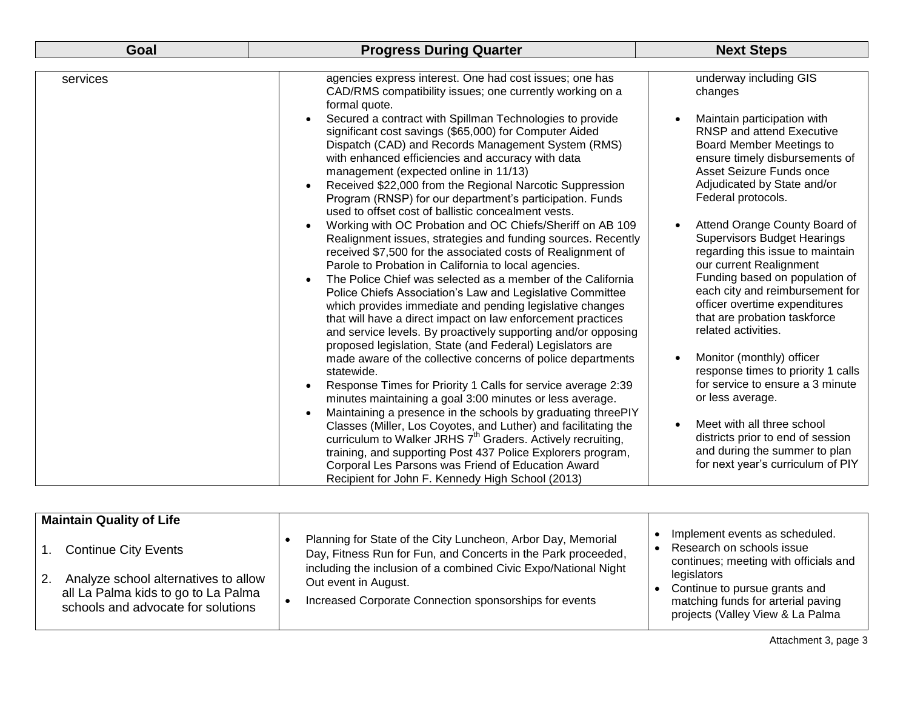| Goal     | <b>Progress During Quarter</b>                                                                                                                                                                                                                                                                                                                                                                                                                                                                                                                                                                                                                                  | <b>Next Steps</b>                                                                                                                                                                                                                                                                                            |
|----------|-----------------------------------------------------------------------------------------------------------------------------------------------------------------------------------------------------------------------------------------------------------------------------------------------------------------------------------------------------------------------------------------------------------------------------------------------------------------------------------------------------------------------------------------------------------------------------------------------------------------------------------------------------------------|--------------------------------------------------------------------------------------------------------------------------------------------------------------------------------------------------------------------------------------------------------------------------------------------------------------|
|          |                                                                                                                                                                                                                                                                                                                                                                                                                                                                                                                                                                                                                                                                 |                                                                                                                                                                                                                                                                                                              |
| services | agencies express interest. One had cost issues; one has<br>CAD/RMS compatibility issues; one currently working on a<br>formal quote.                                                                                                                                                                                                                                                                                                                                                                                                                                                                                                                            | underway including GIS<br>changes                                                                                                                                                                                                                                                                            |
|          | Secured a contract with Spillman Technologies to provide<br>significant cost savings (\$65,000) for Computer Aided<br>Dispatch (CAD) and Records Management System (RMS)<br>with enhanced efficiencies and accuracy with data<br>management (expected online in 11/13)<br>Received \$22,000 from the Regional Narcotic Suppression<br>$\bullet$<br>Program (RNSP) for our department's participation. Funds<br>used to offset cost of ballistic concealment vests.                                                                                                                                                                                              | Maintain participation with<br><b>RNSP and attend Executive</b><br><b>Board Member Meetings to</b><br>ensure timely disbursements of<br>Asset Seizure Funds once<br>Adjudicated by State and/or<br>Federal protocols.                                                                                        |
|          | Working with OC Probation and OC Chiefs/Sheriff on AB 109<br>$\bullet$<br>Realignment issues, strategies and funding sources. Recently<br>received \$7,500 for the associated costs of Realignment of<br>Parole to Probation in California to local agencies.<br>The Police Chief was selected as a member of the California<br>$\bullet$<br>Police Chiefs Association's Law and Legislative Committee<br>which provides immediate and pending legislative changes<br>that will have a direct impact on law enforcement practices<br>and service levels. By proactively supporting and/or opposing<br>proposed legislation, State (and Federal) Legislators are | Attend Orange County Board of<br>$\bullet$<br><b>Supervisors Budget Hearings</b><br>regarding this issue to maintain<br>our current Realignment<br>Funding based on population of<br>each city and reimbursement for<br>officer overtime expenditures<br>that are probation taskforce<br>related activities. |
|          | made aware of the collective concerns of police departments<br>statewide.<br>Response Times for Priority 1 Calls for service average 2:39<br>minutes maintaining a goal 3:00 minutes or less average.<br>Maintaining a presence in the schools by graduating threePIY                                                                                                                                                                                                                                                                                                                                                                                           | Monitor (monthly) officer<br>response times to priority 1 calls<br>for service to ensure a 3 minute<br>or less average.                                                                                                                                                                                      |
|          | Classes (Miller, Los Coyotes, and Luther) and facilitating the<br>curriculum to Walker JRHS 7 <sup>th</sup> Graders. Actively recruiting,<br>training, and supporting Post 437 Police Explorers program,<br>Corporal Les Parsons was Friend of Education Award<br>Recipient for John F. Kennedy High School (2013)                                                                                                                                                                                                                                                                                                                                              | Meet with all three school<br>$\bullet$<br>districts prior to end of session<br>and during the summer to plan<br>for next year's curriculum of PIY                                                                                                                                                           |

| <b>Maintain Quality of Life</b>                                                                                   |                                                                                                                                                                                                  |                                                                                                                        |
|-------------------------------------------------------------------------------------------------------------------|--------------------------------------------------------------------------------------------------------------------------------------------------------------------------------------------------|------------------------------------------------------------------------------------------------------------------------|
| <b>Continue City Events</b>                                                                                       | Planning for State of the City Luncheon, Arbor Day, Memorial<br>Day, Fitness Run for Fun, and Concerts in the Park proceeded,<br>including the inclusion of a combined Civic Expo/National Night | Implement events as scheduled.<br>Research on schools issue<br>continues; meeting with officials and                   |
| Analyze school alternatives to allow<br>all La Palma kids to go to La Palma<br>schools and advocate for solutions | Out event in August.<br>Increased Corporate Connection sponsorships for events                                                                                                                   | legislators<br>Continue to pursue grants and<br>matching funds for arterial paving<br>projects (Valley View & La Palma |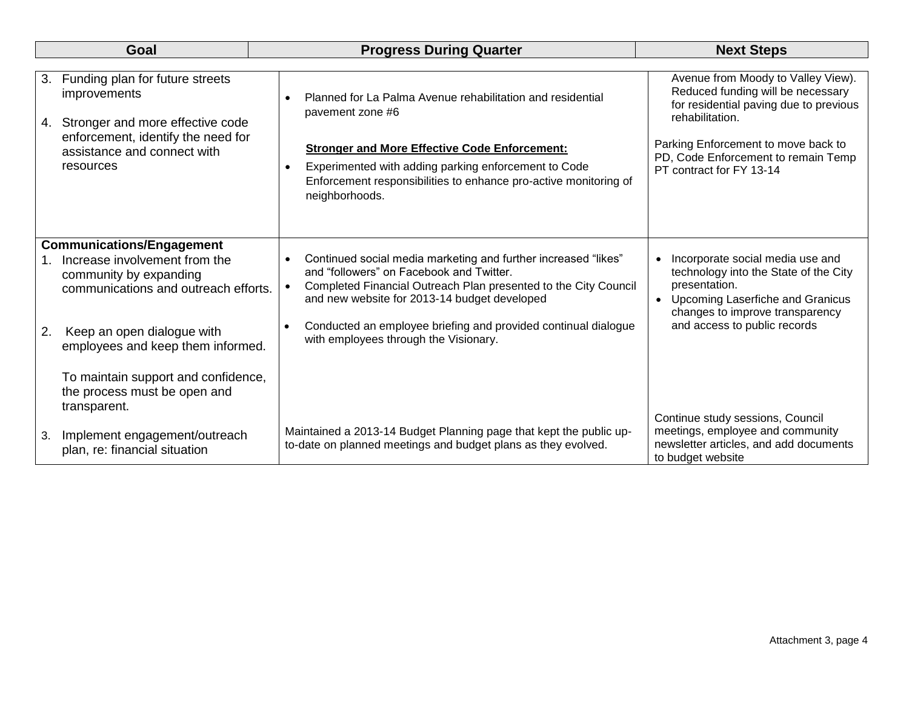| Goal     |                                                                                                                           | <b>Progress During Quarter</b>                                                                                                                                                                                                | <b>Next Steps</b>                                                                                                                                                                |  |
|----------|---------------------------------------------------------------------------------------------------------------------------|-------------------------------------------------------------------------------------------------------------------------------------------------------------------------------------------------------------------------------|----------------------------------------------------------------------------------------------------------------------------------------------------------------------------------|--|
|          |                                                                                                                           |                                                                                                                                                                                                                               |                                                                                                                                                                                  |  |
| 3.<br>4. | Funding plan for future streets<br>improvements<br>Stronger and more effective code<br>enforcement, identify the need for | Planned for La Palma Avenue rehabilitation and residential<br>pavement zone #6<br><b>Stronger and More Effective Code Enforcement:</b>                                                                                        | Avenue from Moody to Valley View).<br>Reduced funding will be necessary<br>for residential paving due to previous<br>rehabilitation.<br>Parking Enforcement to move back to      |  |
|          | assistance and connect with<br>resources                                                                                  | Experimented with adding parking enforcement to Code<br>Enforcement responsibilities to enhance pro-active monitoring of<br>neighborhoods.                                                                                    | PD, Code Enforcement to remain Temp<br>PT contract for FY 13-14                                                                                                                  |  |
|          | <b>Communications/Engagement</b>                                                                                          |                                                                                                                                                                                                                               |                                                                                                                                                                                  |  |
|          | Increase involvement from the<br>community by expanding<br>communications and outreach efforts.                           | Continued social media marketing and further increased "likes"<br>and "followers" on Facebook and Twitter.<br>Completed Financial Outreach Plan presented to the City Council<br>and new website for 2013-14 budget developed | Incorporate social media use and<br>$\bullet$<br>technology into the State of the City<br>presentation.<br>• Upcoming Laserfiche and Granicus<br>changes to improve transparency |  |
| 2.       | Keep an open dialogue with<br>employees and keep them informed.                                                           | Conducted an employee briefing and provided continual dialogue<br>$\bullet$<br>with employees through the Visionary.                                                                                                          | and access to public records                                                                                                                                                     |  |
|          | To maintain support and confidence,<br>the process must be open and<br>transparent.                                       |                                                                                                                                                                                                                               |                                                                                                                                                                                  |  |
| 3.       | Implement engagement/outreach<br>plan, re: financial situation                                                            | Maintained a 2013-14 Budget Planning page that kept the public up-<br>to-date on planned meetings and budget plans as they evolved.                                                                                           | Continue study sessions, Council<br>meetings, employee and community<br>newsletter articles, and add documents<br>to budget website                                              |  |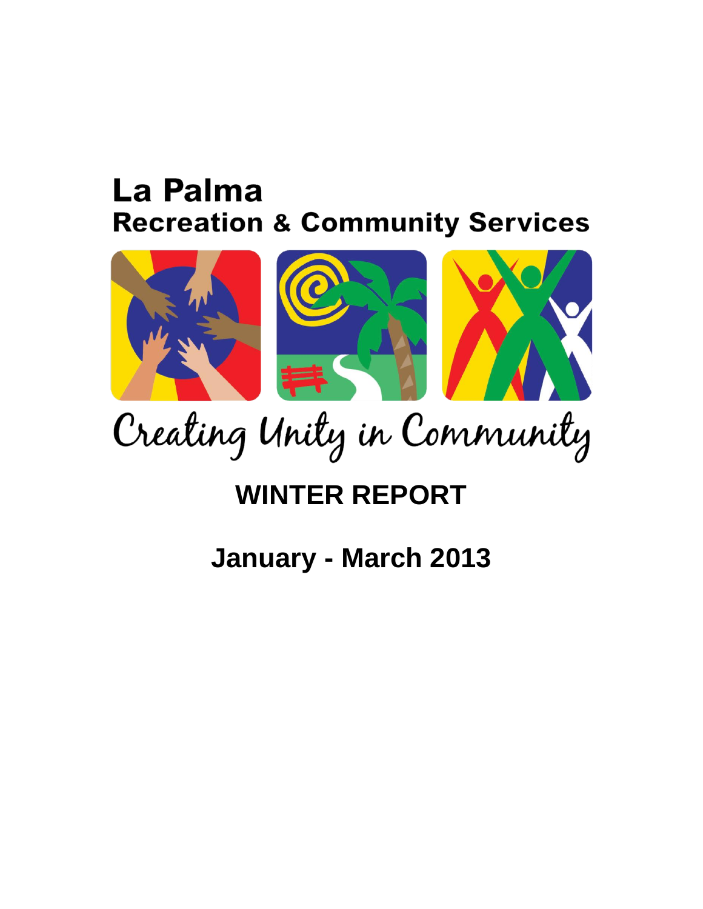# La Palma **Recreation & Community Services**



Creating Unity in Community

# **WINTER REPORT**

# **January - March 2013**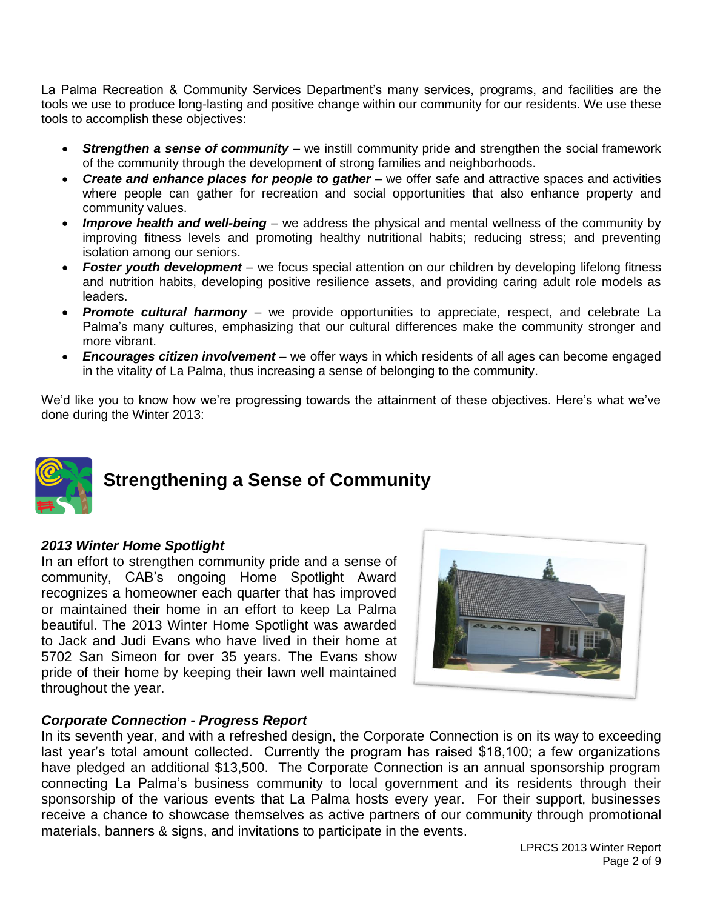La Palma Recreation & Community Services Department's many services, programs, and facilities are the tools we use to produce long-lasting and positive change within our community for our residents. We use these tools to accomplish these objectives:

- **Strengthen a sense of community** we instill community pride and strengthen the social framework of the community through the development of strong families and neighborhoods.
- *Create and enhance places for people to gather* we offer safe and attractive spaces and activities where people can gather for recreation and social opportunities that also enhance property and community values.
- *Improve health and well-being* we address the physical and mental wellness of the community by improving fitness levels and promoting healthy nutritional habits; reducing stress; and preventing isolation among our seniors.
- *Foster youth development* we focus special attention on our children by developing lifelong fitness and nutrition habits, developing positive resilience assets, and providing caring adult role models as leaders.
- **Promote cultural harmony** we provide opportunities to appreciate, respect, and celebrate La Palma's many cultures, emphasizing that our cultural differences make the community stronger and more vibrant.
- *Encourages citizen involvement* we offer ways in which residents of all ages can become engaged in the vitality of La Palma, thus increasing a sense of belonging to the community.

We'd like you to know how we're progressing towards the attainment of these objectives. Here's what we've done during the Winter 2013:



## **Strengthening a Sense of Community**

### *2013 Winter Home Spotlight*

In an effort to strengthen community pride and a sense of community, CAB's ongoing Home Spotlight Award recognizes a homeowner each quarter that has improved or maintained their home in an effort to keep La Palma beautiful. The 2013 Winter Home Spotlight was awarded to Jack and Judi Evans who have lived in their home at 5702 San Simeon for over 35 years. The Evans show pride of their home by keeping their lawn well maintained throughout the year.



### *Corporate Connection - Progress Report*

In its seventh year, and with a refreshed design, the Corporate Connection is on its way to exceeding last year's total amount collected. Currently the program has raised \$18,100; a few organizations have pledged an additional \$13,500. The Corporate Connection is an annual sponsorship program connecting La Palma's business community to local government and its residents through their sponsorship of the various events that La Palma hosts every year. For their support, businesses receive a chance to showcase themselves as active partners of our community through promotional materials, banners & signs, and invitations to participate in the events.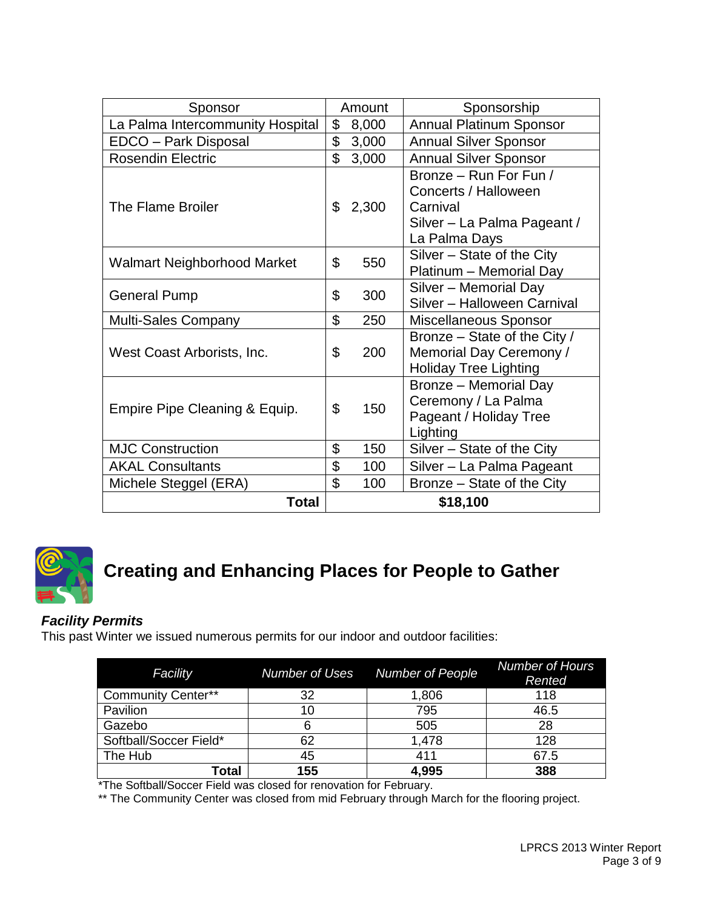| Sponsor                            |                | Amount | Sponsorship                                                                                                |  |
|------------------------------------|----------------|--------|------------------------------------------------------------------------------------------------------------|--|
| La Palma Intercommunity Hospital   |                | 8,000  | <b>Annual Platinum Sponsor</b>                                                                             |  |
| EDCO - Park Disposal               | \$             | 3,000  | <b>Annual Silver Sponsor</b>                                                                               |  |
| <b>Rosendin Electric</b>           | \$             | 3,000  | <b>Annual Silver Sponsor</b>                                                                               |  |
| The Flame Broiler                  | \$             | 2,300  | Bronze - Run For Fun /<br>Concerts / Halloween<br>Carnival<br>Silver - La Palma Pageant /<br>La Palma Days |  |
| <b>Walmart Neighborhood Market</b> | \$             | 550    | Silver – State of the City<br>Platinum - Memorial Day                                                      |  |
| <b>General Pump</b>                | \$             | 300    | Silver - Memorial Day<br>Silver - Halloween Carnival                                                       |  |
| <b>Multi-Sales Company</b>         | \$             | 250    | Miscellaneous Sponsor                                                                                      |  |
| West Coast Arborists, Inc.         | \$             | 200    | Bronze – State of the City /<br>Memorial Day Ceremony /<br><b>Holiday Tree Lighting</b>                    |  |
| Empire Pipe Cleaning & Equip.      | $\mathfrak{L}$ | 150    | Bronze - Memorial Day<br>Ceremony / La Palma<br>Pageant / Holiday Tree<br>Lighting                         |  |
| <b>MJC Construction</b>            | \$             | 150    | Silver - State of the City                                                                                 |  |
| <b>AKAL Consultants</b>            | \$             | 100    | Silver - La Palma Pageant                                                                                  |  |
| Michele Steggel (ERA)              | \$             | 100    | Bronze – State of the City                                                                                 |  |
| Total                              |                |        | \$18,100                                                                                                   |  |



# **Creating and Enhancing Places for People to Gather**

### *Facility Permits*

This past Winter we issued numerous permits for our indoor and outdoor facilities:

| Facility                  | <b>Number of Uses</b> | <b>Number of People</b> | <b>Number of Hours</b><br>Rented |
|---------------------------|-----------------------|-------------------------|----------------------------------|
| <b>Community Center**</b> | 32                    | 1,806                   | 118                              |
| Pavilion                  | 10                    | 795                     | 46.5                             |
| Gazebo                    | 6                     | 505                     | 28                               |
| Softball/Soccer Field*    | 62                    | 1,478                   | 128                              |
| The Hub                   | 45                    | 411                     | 67.5                             |
| Total                     | 155                   | 4,995                   | 388                              |

\*The Softball/Soccer Field was closed for renovation for February.

\*\* The Community Center was closed from mid February through March for the flooring project.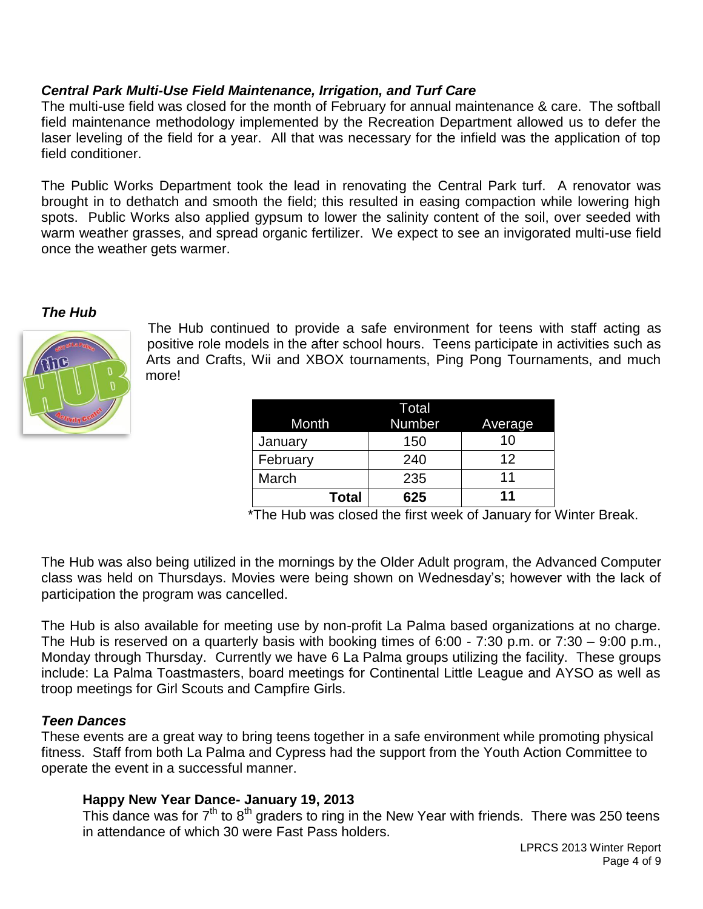### *Central Park Multi-Use Field Maintenance, Irrigation, and Turf Care*

The multi-use field was closed for the month of February for annual maintenance & care. The softball field maintenance methodology implemented by the Recreation Department allowed us to defer the laser leveling of the field for a year. All that was necessary for the infield was the application of top field conditioner.

The Public Works Department took the lead in renovating the Central Park turf. A renovator was brought in to dethatch and smooth the field; this resulted in easing compaction while lowering high spots. Public Works also applied gypsum to lower the salinity content of the soil, over seeded with warm weather grasses, and spread organic fertilizer. We expect to see an invigorated multi-use field once the weather gets warmer.

### *The Hub*



The Hub continued to provide a safe environment for teens with staff acting as positive role models in the after school hours. Teens participate in activities such as Arts and Crafts, Wii and XBOX tournaments, Ping Pong Tournaments, and much more!

| Month        | Total<br><b>Number</b> | Average |
|--------------|------------------------|---------|
| January      | 150                    | 10      |
| February     | 240                    | 12      |
| March        | 235                    | 11      |
| <b>Total</b> | 625                    | 11      |

\*The Hub was closed the first week of January for Winter Break.

The Hub was also being utilized in the mornings by the Older Adult program, the Advanced Computer class was held on Thursdays. Movies were being shown on Wednesday's; however with the lack of participation the program was cancelled.

The Hub is also available for meeting use by non-profit La Palma based organizations at no charge. The Hub is reserved on a quarterly basis with booking times of 6:00 - 7:30 p.m. or 7:30 – 9:00 p.m., Monday through Thursday. Currently we have 6 La Palma groups utilizing the facility. These groups include: La Palma Toastmasters, board meetings for Continental Little League and AYSO as well as troop meetings for Girl Scouts and Campfire Girls.

### *Teen Dances*

These events are a great way to bring teens together in a safe environment while promoting physical fitness. Staff from both La Palma and Cypress had the support from the Youth Action Committee to operate the event in a successful manner.

### **Happy New Year Dance- January 19, 2013**

This dance was for  $7<sup>th</sup>$  to  $8<sup>th</sup>$  graders to ring in the New Year with friends. There was 250 teens in attendance of which 30 were Fast Pass holders.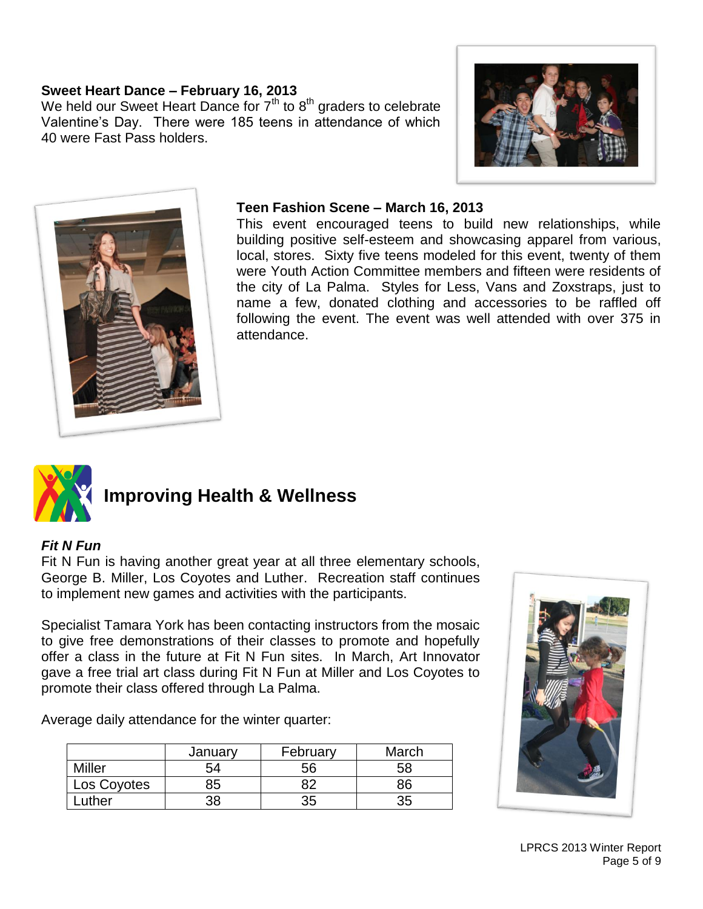### **Sweet Heart Dance – February 16, 2013**

We held our Sweet Heart Dance for  $7<sup>th</sup>$  to  $8<sup>th</sup>$  graders to celebrate Valentine's Day. There were 185 teens in attendance of which 40 were Fast Pass holders.





### **Teen Fashion Scene – March 16, 2013**

This event encouraged teens to build new relationships, while building positive self-esteem and showcasing apparel from various, local, stores. Sixty five teens modeled for this event, twenty of them were Youth Action Committee members and fifteen were residents of the city of La Palma. Styles for Less, Vans and Zoxstraps, just to name a few, donated clothing and accessories to be raffled off following the event. The event was well attended with over 375 in attendance.



### **Improving Health & Wellness**

### *Fit N Fun*

Fit N Fun is having another great year at all three elementary schools, George B. Miller, Los Coyotes and Luther. Recreation staff continues to implement new games and activities with the participants.

Specialist Tamara York has been contacting instructors from the mosaic to give free demonstrations of their classes to promote and hopefully offer a class in the future at Fit N Fun sites. In March, Art Innovator gave a free trial art class during Fit N Fun at Miller and Los Coyotes to promote their class offered through La Palma.

Average daily attendance for the winter quarter:

|               | January | February | March |
|---------------|---------|----------|-------|
| <b>Miller</b> | 54      | 56       | 58    |
| Los Coyotes   | 85      | ററ       | 86    |
| uther         | 38      | 35       | 35    |

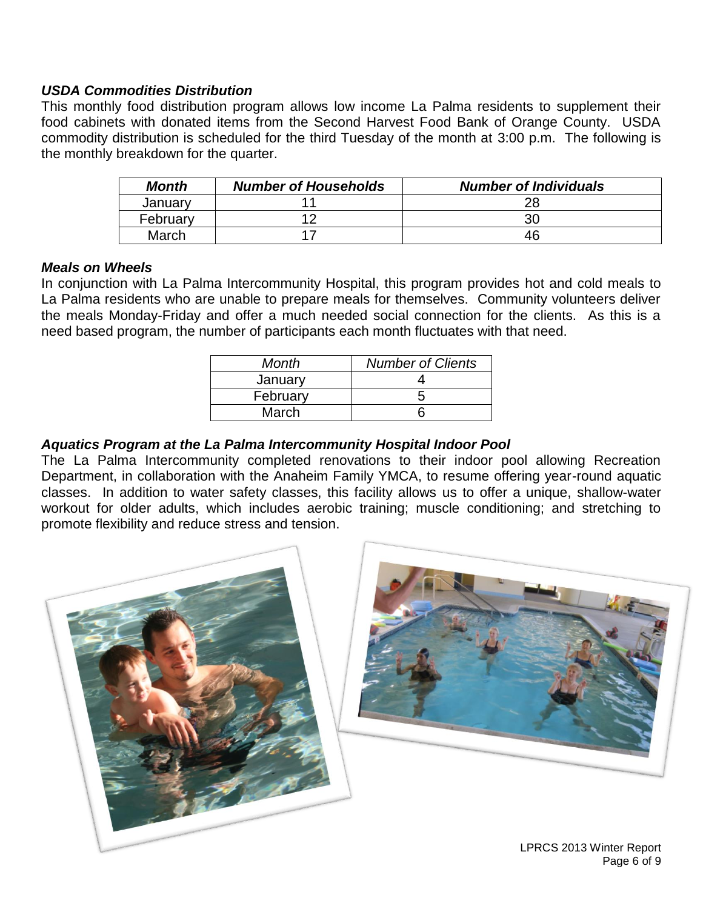### *USDA Commodities Distribution*

This monthly food distribution program allows low income La Palma residents to supplement their food cabinets with donated items from the Second Harvest Food Bank of Orange County. USDA commodity distribution is scheduled for the third Tuesday of the month at 3:00 p.m. The following is the monthly breakdown for the quarter.

| <b>Month</b> | <b>Number of Households</b> | <b>Number of Individuals</b> |
|--------------|-----------------------------|------------------------------|
| January      |                             |                              |
| February     | 10                          | 30                           |
| March        |                             | 46                           |

### *Meals on Wheels*

In conjunction with La Palma Intercommunity Hospital, this program provides hot and cold meals to La Palma residents who are unable to prepare meals for themselves. Community volunteers deliver the meals Monday-Friday and offer a much needed social connection for the clients. As this is a need based program, the number of participants each month fluctuates with that need.

| Month    | <b>Number of Clients</b> |  |
|----------|--------------------------|--|
| January  |                          |  |
| February |                          |  |
| March    |                          |  |

### *Aquatics Program at the La Palma Intercommunity Hospital Indoor Pool*

The La Palma Intercommunity completed renovations to their indoor pool allowing Recreation Department, in collaboration with the Anaheim Family YMCA, to resume offering year-round aquatic classes. In addition to water safety classes, this facility allows us to offer a unique, shallow-water workout for older adults, which includes aerobic training; muscle conditioning; and stretching to promote flexibility and reduce stress and tension.

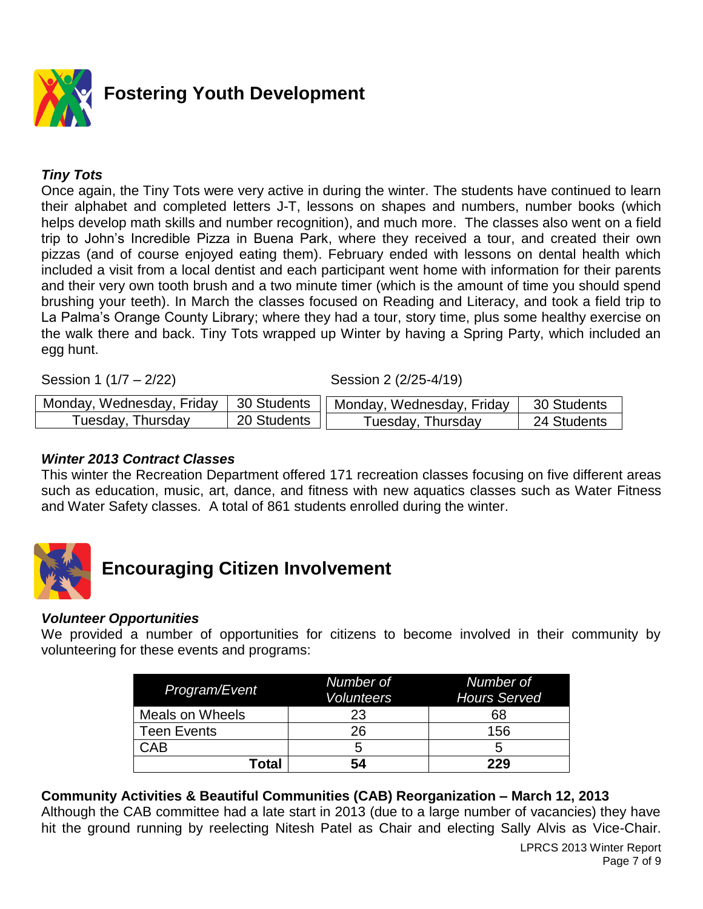

### *Tiny Tots*

Once again, the Tiny Tots were very active in during the winter. The students have continued to learn their alphabet and completed letters J-T, lessons on shapes and numbers, number books (which helps develop math skills and number recognition), and much more. The classes also went on a field trip to John's Incredible Pizza in Buena Park, where they received a tour, and created their own pizzas (and of course enjoyed eating them). February ended with lessons on dental health which included a visit from a local dentist and each participant went home with information for their parents and their very own tooth brush and a two minute timer (which is the amount of time you should spend brushing your teeth). In March the classes focused on Reading and Literacy, and took a field trip to La Palma's Orange County Library; where they had a tour, story time, plus some healthy exercise on the walk there and back. Tiny Tots wrapped up Winter by having a Spring Party, which included an egg hunt.

Session 1 (1/7 – 2/22) Session 2 (2/25-4/19)

| Monday, Wednesday, Friday | 30 Students | Monday, Wednesday, Friday     | 30 Students |
|---------------------------|-------------|-------------------------------|-------------|
| Tuesday, Thursday         | 20 Students | <sup>T</sup> uesday, Thursday | 24 Students |

### *Winter 2013 Contract Classes*

This winter the Recreation Department offered 171 recreation classes focusing on five different areas such as education, music, art, dance, and fitness with new aquatics classes such as Water Fitness and Water Safety classes. A total of 861 students enrolled during the winter.



## **Encouraging Citizen Involvement**

### *Volunteer Opportunities*

We provided a number of opportunities for citizens to become involved in their community by volunteering for these events and programs:

| Program/Event      | Number of<br><b>Volunteers</b> | Number of<br><b>Hours Served</b> |
|--------------------|--------------------------------|----------------------------------|
| Meals on Wheels    | 23                             | 68                               |
| <b>Teen Events</b> | 26                             | 156                              |
| <b>CAB</b>         | G                              | b                                |
| Total              | 54                             | 229                              |

### **Community Activities & Beautiful Communities (CAB) Reorganization – March 12, 2013**

Although the CAB committee had a late start in 2013 (due to a large number of vacancies) they have hit the ground running by reelecting Nitesh Patel as Chair and electing Sally Alvis as Vice-Chair.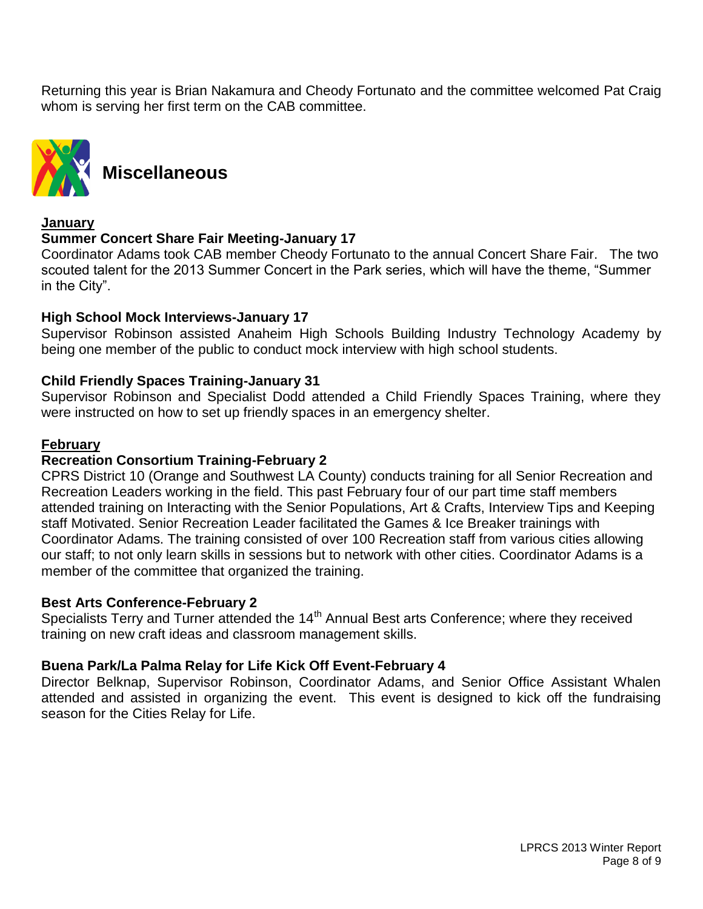Returning this year is Brian Nakamura and Cheody Fortunato and the committee welcomed Pat Craig whom is serving her first term on the CAB committee.



**Miscellaneous**

### **January**

### **Summer Concert Share Fair Meeting-January 17**

Coordinator Adams took CAB member Cheody Fortunato to the annual Concert Share Fair. The two scouted talent for the 2013 Summer Concert in the Park series, which will have the theme, "Summer in the City".

### **High School Mock Interviews-January 17**

Supervisor Robinson assisted Anaheim High Schools Building Industry Technology Academy by being one member of the public to conduct mock interview with high school students.

### **Child Friendly Spaces Training-January 31**

Supervisor Robinson and Specialist Dodd attended a Child Friendly Spaces Training, where they were instructed on how to set up friendly spaces in an emergency shelter.

### **February**

### **Recreation Consortium Training-February 2**

CPRS District 10 (Orange and Southwest LA County) conducts training for all Senior Recreation and Recreation Leaders working in the field. This past February four of our part time staff members attended training on Interacting with the Senior Populations, Art & Crafts, Interview Tips and Keeping staff Motivated. Senior Recreation Leader facilitated the Games & Ice Breaker trainings with Coordinator Adams. The training consisted of over 100 Recreation staff from various cities allowing our staff; to not only learn skills in sessions but to network with other cities. Coordinator Adams is a member of the committee that organized the training.

### **Best Arts Conference-February 2**

Specialists Terry and Turner attended the 14<sup>th</sup> Annual Best arts Conference; where they received training on new craft ideas and classroom management skills.

### **Buena Park/La Palma Relay for Life Kick Off Event-February 4**

Director Belknap, Supervisor Robinson, Coordinator Adams, and Senior Office Assistant Whalen attended and assisted in organizing the event. This event is designed to kick off the fundraising season for the Cities Relay for Life.